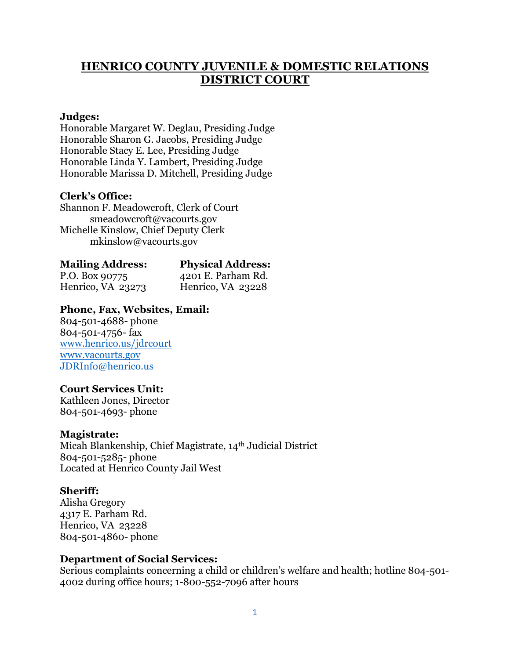# **HENRICO COUNTY JUVENILE & DOMESTIC RELATIONS DISTRICT COURT**

#### **Judges:**

Honorable Margaret W. Deglau, Presiding Judge Honorable Sharon G. Jacobs, Presiding Judge Honorable Stacy E. Lee, Presiding Judge Honorable Linda Y. Lambert, Presiding Judge Honorable Marissa D. Mitchell, Presiding Judge

#### **Clerk's Office:**

Shannon F. Meadowcroft, Clerk of Court smeadowcroft@vacourts.gov Michelle Kinslow, Chief Deputy Clerk mkinslow@vacourts.gov

| <b>Mailing Address:</b> | Physical. |
|-------------------------|-----------|
| - -                     |           |

Henrico, VA 23273 Henrico, VA 23228

**Mailing Address: Physical Address:** P.O. Box 90775 4201 E. Parham Rd.

## **Phone, Fax, Websites, Email:**

804-501-4688- phone 804-501-4756- fax [www.henrico.us/jdrcourt](http://www.henrico.us/jdrcourt) [www.vacourts.gov](http://www.vacourts.gov/) [JDRInfo@henrico.us](mailto:JDRInfo@henrico.us)

## **Court Services Unit:**

Kathleen Jones, Director 804-501-4693- phone

#### **Magistrate:**

Micah Blankenship, Chief Magistrate, 14th Judicial District 804-501-5285- phone Located at Henrico County Jail West

#### **Sheriff:**

Alisha Gregory 4317 E. Parham Rd. Henrico, VA 23228 804-501-4860- phone

#### **Department of Social Services:**

Serious complaints concerning a child or children's welfare and health; hotline 804-501- 4002 during office hours; 1-800-552-7096 after hours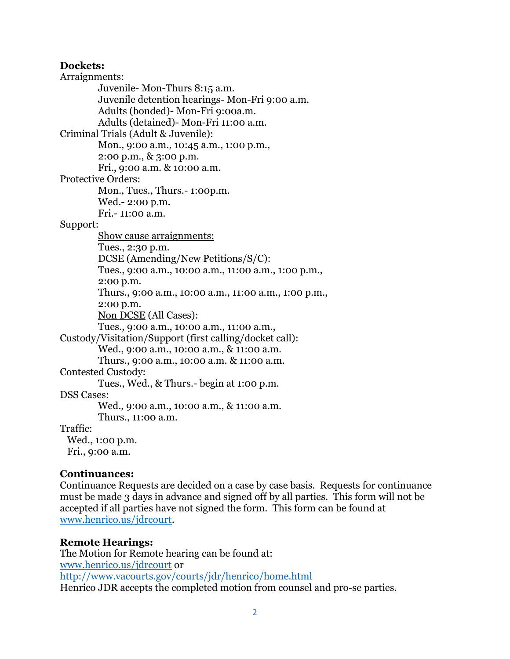#### **Dockets:**

Arraignments: Juvenile- Mon-Thurs 8:15 a.m. Juvenile detention hearings- Mon-Fri 9:00 a.m. Adults (bonded)- Mon-Fri 9:00a.m. Adults (detained)- Mon-Fri 11:00 a.m. Criminal Trials (Adult & Juvenile): Mon., 9:00 a.m., 10:45 a.m., 1:00 p.m., 2:00 p.m., & 3:00 p.m. Fri., 9:00 a.m. & 10:00 a.m. Protective Orders: Mon., Tues., Thurs.- 1:00p.m. Wed.- 2:00 p.m. Fri.- 11:00 a.m. Support: Show cause arraignments: Tues., 2:30 p.m. DCSE (Amending/New Petitions/S/C): Tues., 9:00 a.m., 10:00 a.m., 11:00 a.m., 1:00 p.m., 2:00 p.m. Thurs., 9:00 a.m., 10:00 a.m., 11:00 a.m., 1:00 p.m., 2:00 p.m. Non DCSE (All Cases): Tues., 9:00 a.m., 10:00 a.m., 11:00 a.m., Custody/Visitation/Support (first calling/docket call): Wed., 9:00 a.m., 10:00 a.m., & 11:00 a.m. Thurs., 9:00 a.m., 10:00 a.m. & 11:00 a.m. Contested Custody: Tues., Wed., & Thurs.- begin at 1:00 p.m. DSS Cases: Wed., 9:00 a.m., 10:00 a.m., & 11:00 a.m. Thurs., 11:00 a.m. Traffic: Wed., 1:00 p.m. Fri., 9:00 a.m.

#### **Continuances:**

Continuance Requests are decided on a case by case basis. Requests for continuance must be made 3 days in advance and signed off by all parties. This form will not be accepted if all parties have not signed the form. This form can be found at [www.henrico.us/jdrcourt.](http://www.henrico.us/jdrcourt)

#### **Remote Hearings:**

The Motion for Remote hearing can be found at: [www.henrico.us/jdrcourt](http://www.henrico.us/jdrcourt) or <http://www.vacourts.gov/courts/jdr/henrico/home.html> Henrico JDR accepts the completed motion from counsel and pro-se parties.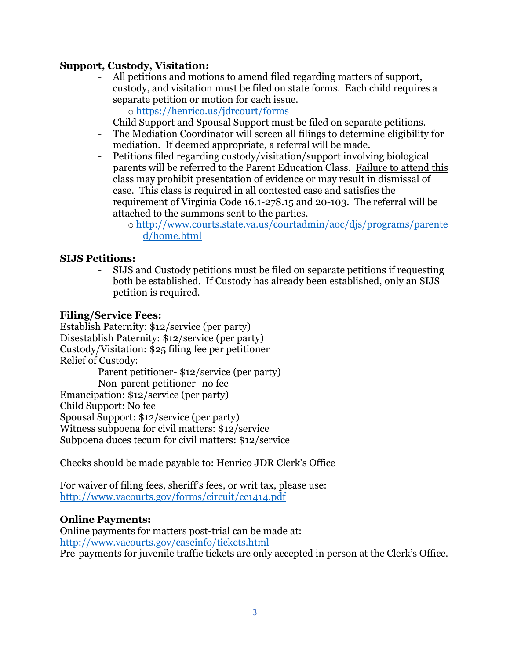## **Support, Custody, Visitation:**

- All petitions and motions to amend filed regarding matters of support, custody, and visitation must be filed on state forms. Each child requires a separate petition or motion for each issue. o <https://henrico.us/jdrcourt/forms>
- Child Support and Spousal Support must be filed on separate petitions.
- The Mediation Coordinator will screen all filings to determine eligibility for mediation. If deemed appropriate, a referral will be made.
- Petitions filed regarding custody/visitation/support involving biological parents will be referred to the Parent Education Class. Failure to attend this class may prohibit presentation of evidence or may result in dismissal of case. This class is required in all contested case and satisfies the requirement of Virginia Code 16.1-278.15 and 20-103. The referral will be attached to the summons sent to the parties.
	- o [http://www.courts.state.va.us/courtadmin/aoc/djs/programs/parente](http://www.courts.state.va.us/courtadmin/aoc/djs/programs/parented/home.html) [d/home.html](http://www.courts.state.va.us/courtadmin/aoc/djs/programs/parented/home.html)

## **SIJS Petitions:**

- SIJS and Custody petitions must be filed on separate petitions if requesting both be established. If Custody has already been established, only an SIJS petition is required.

#### **Filing/Service Fees:**

Establish Paternity: \$12/service (per party) Disestablish Paternity: \$12/service (per party) Custody/Visitation: \$25 filing fee per petitioner Relief of Custody: Parent petitioner- \$12/service (per party) Non-parent petitioner- no fee Emancipation: \$12/service (per party) Child Support: No fee Spousal Support: \$12/service (per party) Witness subpoena for civil matters: \$12/service

Subpoena duces tecum for civil matters: \$12/service

Checks should be made payable to: Henrico JDR Clerk's Office

For waiver of filing fees, sheriff's fees, or writ tax, please use: <http://www.vacourts.gov/forms/circuit/cc1414.pdf>

#### **Online Payments:**

Online payments for matters post-trial can be made at: <http://www.vacourts.gov/caseinfo/tickets.html> Pre-payments for juvenile traffic tickets are only accepted in person at the Clerk's Office.